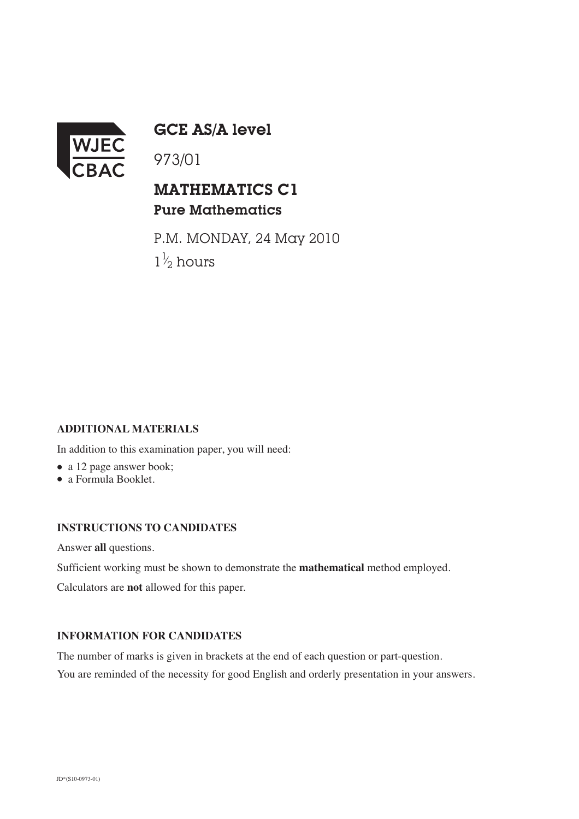

GCE AS/A level

973/01

## MATHEMATICS C1 Pure Mathematics

P.M. MONDAY, 24 May 2010  $1\frac{1}{2}$  hours ⁄

## **ADDITIONAL MATERIALS**

In addition to this examination paper, you will need:

- a 12 page answer book;
- a Formula Booklet.

## **INSTRUCTIONS TO CANDIDATES**

Answer **all** questions.

Sufficient working must be shown to demonstrate the **mathematical** method employed.

Calculators are **not** allowed for this paper.

## **INFORMATION FOR CANDIDATES**

The number of marks is given in brackets at the end of each question or part-question. You are reminded of the necessity for good English and orderly presentation in your answers.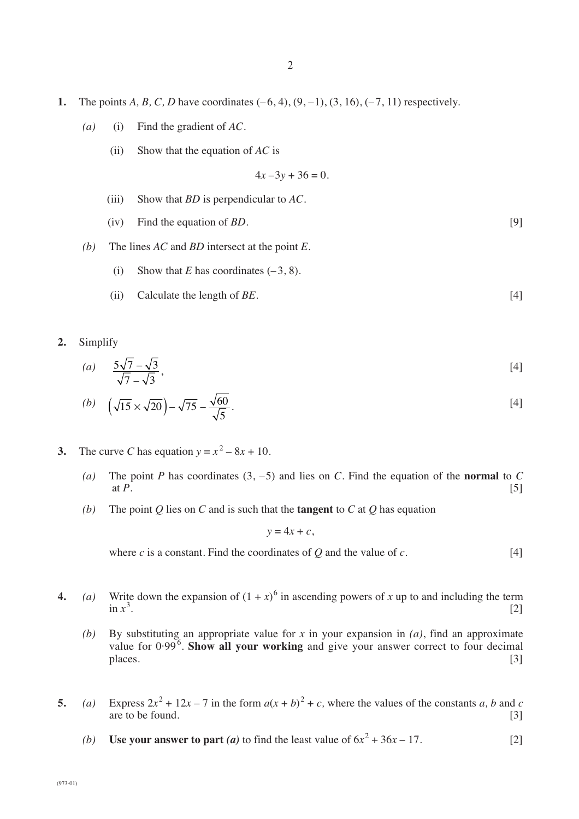- **1.** The points *A*, *B*, *C*, *D* have coordinates  $(-6, 4)$ ,  $(9, -1)$ ,  $(3, 16)$ ,  $(-7, 11)$  respectively.
	- *(a)* (i) Find the gradient of *AC*.
		- (ii) Show that the equation of *AC* is

$$
4x - 3y + 36 = 0.
$$

- (iii) Show that *BD* is perpendicular to *AC.*
- (iv) Find the equation of *BD.* [9]
- *(b)* The lines *AC* and *BD* intersect at the point *E*.
	- (i) Show that  $E$  has coordinates  $(-3, 8)$ .
	- (ii) Calculate the length of *BE.* [4]
- **2.** Simplify

(a) 
$$
\frac{5\sqrt{7}-\sqrt{3}}{\sqrt{7}-\sqrt{3}}
$$
, [4]

(b) 
$$
\left(\sqrt{15} \times \sqrt{20}\right) - \sqrt{75} - \frac{\sqrt{60}}{\sqrt{5}}
$$
.

- **3.** The curve *C* has equation  $y = x^2 8x + 10$ .
	- (a) The point *P* has coordinates  $(3, -5)$  and lies on *C*. Find the equation of the **normal** to *C* at  $P$ .  $[5]$
	- *(b)* The point *Q* lies on *C* and is such that the **tangent** to *C* at *Q* has equation

 $y = 4x + c$ ,

where *c* is a constant. Find the coordinates of *Q* and the value of *c*.  $[4]$ 

- **4.** (a) Write down the expansion of  $(1 + x)^6$  in ascending powers of x up to and including the term in  $x^3$ . .  $[2]$ 
	- *(b)* By substituting an appropriate value for *x* in your expansion in *(a)*, find an approximate value for 0.99<sup>6</sup>. Show all your working and give your answer correct to four decimal places. [3]
- **5.** *(a)* Express  $2x^2 + 12x 7$  in the form  $a(x + b)^2 + c$ , where the values of the constants *a*, *b* and *c* are to be found. [3]
	- *(b)* **Use your answer to part** *(a)* to find the least value of  $6x^2 + 36x 17$ . [2]